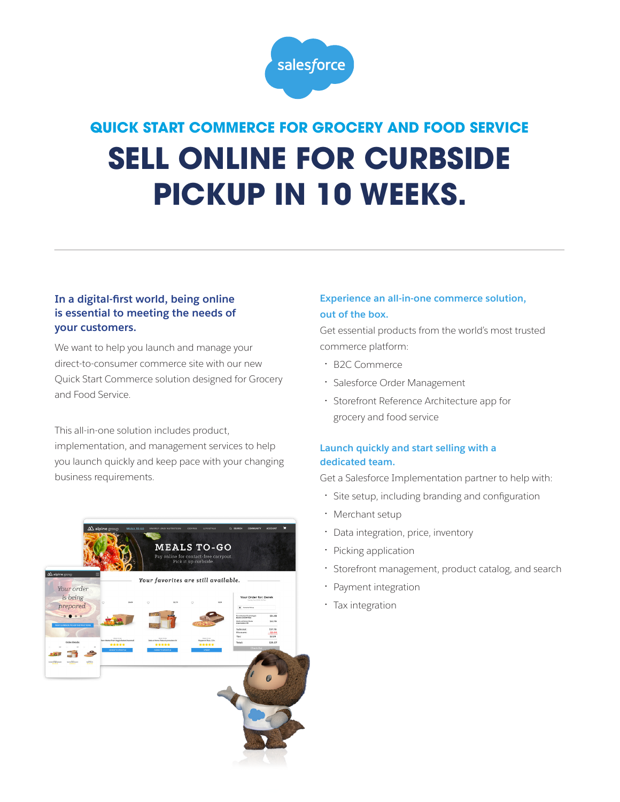

# **QUICK START COMMERCE FOR GROCERY AND FOOD SERVICE SELL ONLINE FOR CURBSIDE PICKUP IN 10 WEEKS.**

### **In a digital-first world, being online is essential to meeting the needs of your customers.**

We want to help you launch and manage your direct-to-consumer commerce site with our new Quick Start Commerce solution designed for Grocery and Food Service.

This all-in-one solution includes product,

implementation, and management services to help you launch quickly and keep pace with your changing business requirements.



### **Experience an all-in-one commerce solution, out of the box.**

Get essential products from the world's most trusted commerce platform:

- B2C Commerce
- Salesforce Order Management
- Storefront Reference Architecture app for grocery and food service

## **Launch quickly and start selling with a dedicated team.**

Get a Salesforce Implementation partner to help with:

- Site setup, including branding and configuration
- Merchant setup
- Data integration, price, inventory
- Picking application
- Storefront management, product catalog, and search
- Payment integration
- Tax integration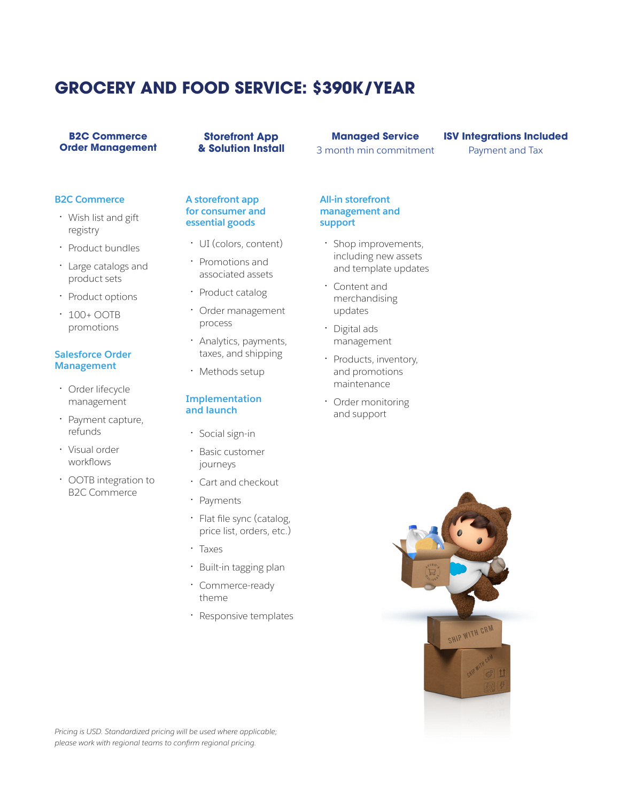# **GROCERY AND FOOD SERVICE: \$390K/YEAR**

#### **B2C Commerce Order Management**

**Storefront App & Solution Install** 

# **Managed Service**

3 month min commitment

#### **ISV Integrations Included**

Payment and Tax

#### **B2C Commerce**

- Wish list and gift registry
- Product bundles
- Large catalogs and product sets
- Product options
- 100+ OOTB promotions

#### **Salesforce Order Management**

- Order lifecycle management
- Payment capture, refunds
- Visual order workflows
- OOTB integration to B2C Commerce

#### **A storefront app for consumer and essential goods**

- UI (colors, content)
- Promotions and associated assets
- Product catalog
- Order management process
- Analytics, payments, taxes, and shipping
- Methods setup

#### **Implementation and launch**

- Social sign-in
- Basic customer journeys
- Cart and checkout
- Payments
- Flat file sync (catalog, price list, orders, etc.)
- Taxes
- Built-in tagging plan
- Commerce-ready theme
- Responsive templates

**All-in storefront management and support** 

- Shop improvements, including new assets and template updates
- Content and merchandising updates
- Digital ads management
- Products, inventory, and promotions maintenance
- Order monitoring and support



*Pricing is USD. Standardized pricing will be used where applicable; please work with regional teams to confirm regional pricing.*